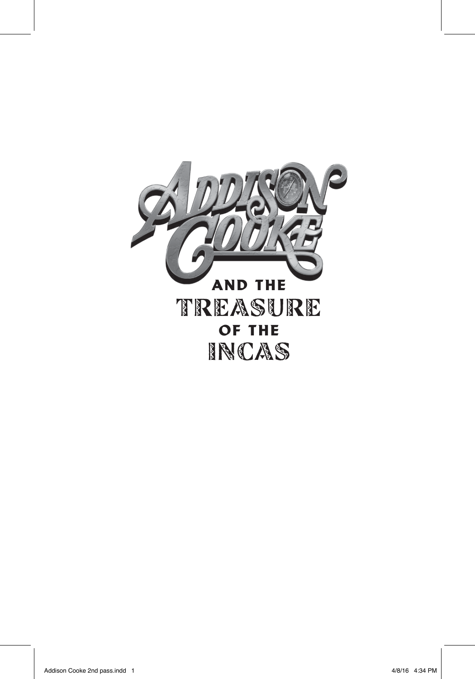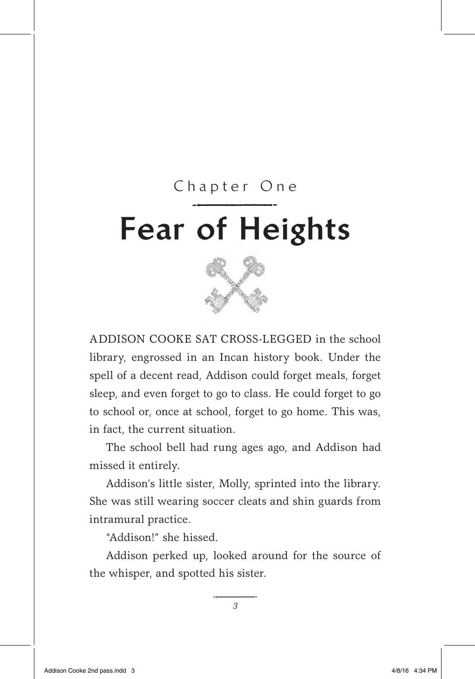## Fear of Heights Chapter One of He



ADDISON COOKE SAT CROSS-LEGGED in the school library, engrossed in an Incan history book. Under the spell of a decent read, Addison could forget meals, forget sleep, and even forget to go to class. He could forget to go to school or, once at school, forget to go home. This was, in fact, the current situation.

The school bell had rung ages ago, and Addison had missed it entirely.

Addison's little sister, Molly, sprinted into the library. She was still wearing soccer cleats and shin guards from intramural practice.

"Addison!" she hissed.

Addison perked up, looked around for the source of the whisper, and spotted his sister.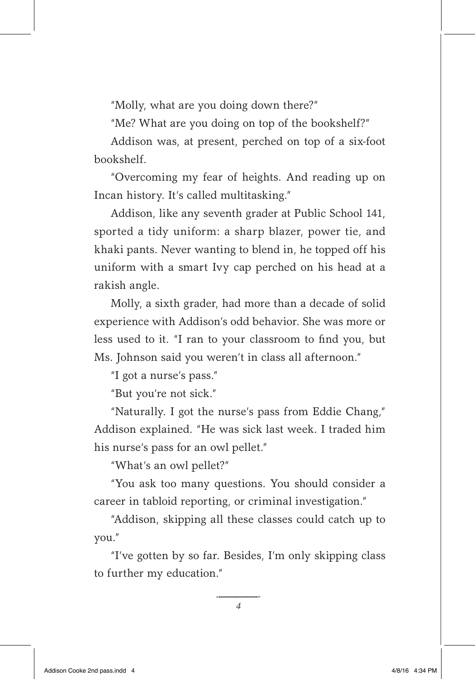"Molly, what are you doing down there?"

"Me? What are you doing on top of the bookshelf?"

Addison was, at present, perched on top of a six-foot bookshelf.

"Overcoming my fear of heights. And reading up on Incan history. It's called multitasking."

Addison, like any seventh grader at Public School 141, sported a tidy uniform: a sharp blazer, power tie, and khaki pants. Never wanting to blend in, he topped off his uniform with a smart Ivy cap perched on his head at a rakish angle.

Molly, a sixth grader, had more than a decade of solid experience with Addison's odd behavior. She was more or less used to it. "I ran to your classroom to find you, but Ms. Johnson said you weren't in class all afternoon."

"I got a nurse's pass."

"But you're not sick."

"Naturally. I got the nurse's pass from Eddie Chang," Addison explained. "He was sick last week. I traded him his nurse's pass for an owl pellet."

"What's an owl pellet?"

"You ask too many questions. You should consider a career in tabloid reporting, or criminal investigation."

"Addison, skipping all these classes could catch up to you."

"I've gotten by so far. Besides, I'm only skipping class to further my education."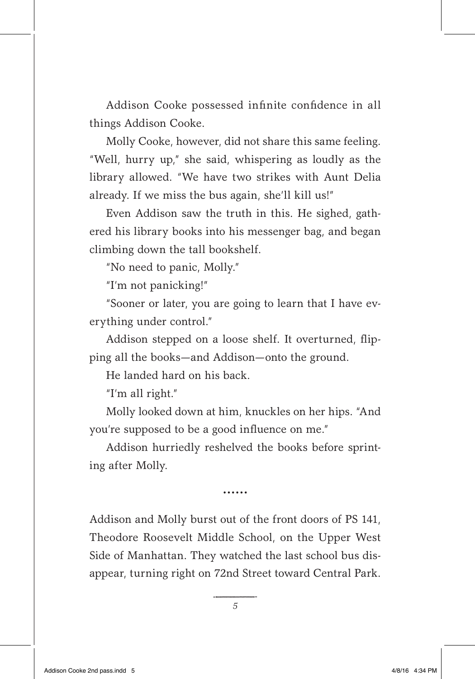Addison Cooke possessed infinite confidence in all things Addison Cooke.

Molly Cooke, however, did not share this same feeling. "Well, hurry up," she said, whispering as loudly as the library allowed. "We have two strikes with Aunt Delia already. If we miss the bus again, she'll kill us!"

Even Addison saw the truth in this. He sighed, gathered his library books into his messenger bag, and began climbing down the tall bookshelf.

"No need to panic, Molly."

"I'm not panicking!"

"Sooner or later, you are going to learn that I have everything under control."

Addison stepped on a loose shelf. It overturned, flipping all the books—and Addison—onto the ground.

He landed hard on his back.

"I'm all right."

Molly looked down at him, knuckles on her hips. "And you're supposed to be a good influence on me."

Addison hurriedly reshelved the books before sprinting after Molly.

......

Addison and Molly burst out of the front doors of PS 141, Theodore Roosevelt Middle School, on the Upper West Side of Manhattan. They watched the last school bus disappear, turning right on 72nd Street toward Central Park.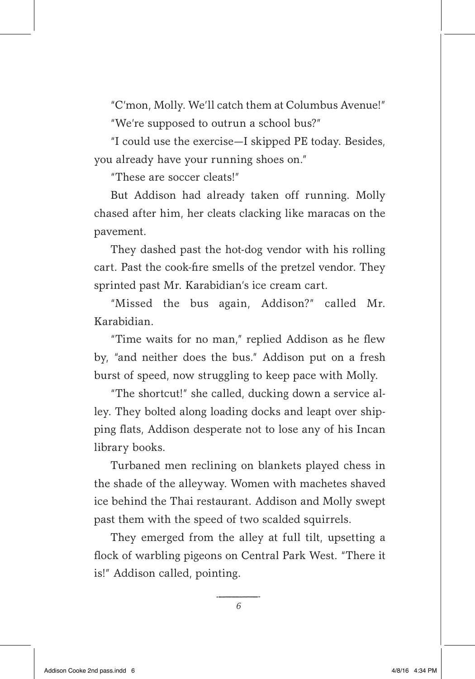"C'mon, Molly. We'll catch them at Columbus Avenue!" "We're supposed to outrun a school bus?"

"I could use the exercise—I skipped PE today. Besides, you already have your running shoes on."

"These are soccer cleats!"

But Addison had already taken off running. Molly chased after him, her cleats clacking like maracas on the pavement.

They dashed past the hot-dog vendor with his rolling cart. Past the cook-fire smells of the pretzel vendor. They sprinted past Mr. Karabidian's ice cream cart.

"Missed the bus again, Addison?" called Mr. Karabidian.

"Time waits for no man," replied Addison as he flew by, "and neither does the bus." Addison put on a fresh burst of speed, now struggling to keep pace with Molly.

"The shortcut!" she called, ducking down a service alley. They bolted along loading docks and leapt over shipping flats, Addison desperate not to lose any of his Incan library books.

Turbaned men reclining on blankets played chess in the shade of the alleyway. Women with machetes shaved ice behind the Thai restaurant. Addison and Molly swept past them with the speed of two scalded squirrels.

They emerged from the alley at full tilt, upsetting a flock of warbling pigeons on Central Park West. "There it is!" Addison called, pointing.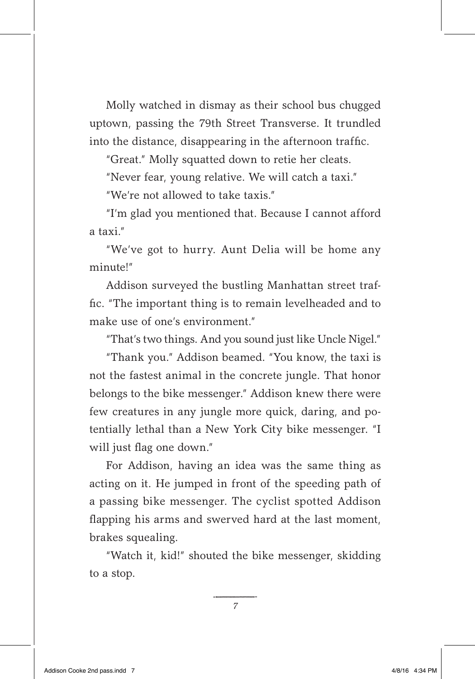Molly watched in dismay as their school bus chugged uptown, passing the 79th Street Transverse. It trundled into the distance, disappearing in the afternoon traffic.

"Great." Molly squatted down to retie her cleats.

"Never fear, young relative. We will catch a taxi."

"We're not allowed to take taxis."

"I'm glad you mentioned that. Because I cannot afford a taxi."

"We've got to hurry. Aunt Delia will be home any minute!"

Addison surveyed the bustling Manhattan street traffic. "The important thing is to remain levelheaded and to make use of one's environment."

"That's two things. And you sound just like Uncle Nigel."

"Thank you." Addison beamed. "You know, the taxi is not the fastest animal in the concrete jungle. That honor belongs to the bike messenger." Addison knew there were few creatures in any jungle more quick, daring, and potentially lethal than a New York City bike messenger. "I will just flag one down."

For Addison, having an idea was the same thing as acting on it. He jumped in front of the speeding path of a passing bike messenger. The cyclist spotted Addison flapping his arms and swerved hard at the last moment, brakes squealing.

"Watch it, kid!" shouted the bike messenger, skidding to a stop.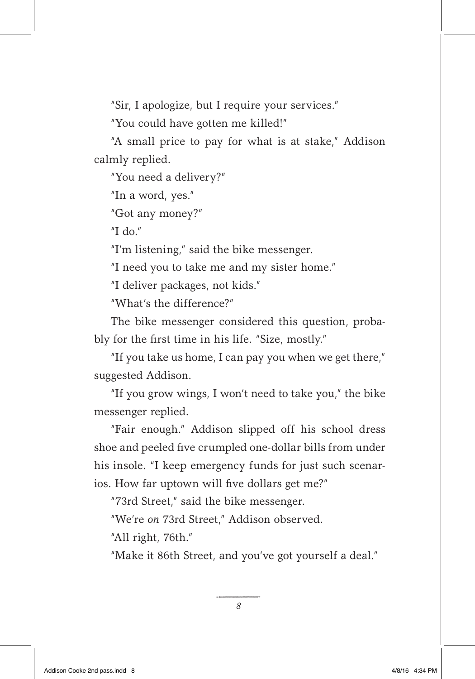"Sir, I apologize, but I require your services."

"You could have gotten me killed!"

"A small price to pay for what is at stake," Addison calmly replied.

"You need a delivery?"

"In a word, yes."

"Got any money?"

"I do."

"I'm listening," said the bike messenger.

"I need you to take me and my sister home."

"I deliver packages, not kids."

"What's the difference?"

The bike messenger considered this question, probably for the first time in his life. "Size, mostly."

"If you take us home, I can pay you when we get there," suggested Addison.

"If you grow wings, I won't need to take you," the bike messenger replied.

"Fair enough." Addison slipped off his school dress shoe and peeled five crumpled one-dollar bills from under his insole. "I keep emergency funds for just such scenarios. How far uptown will five dollars get me?"

"73rd Street," said the bike messenger.

"We're *on* 73rd Street," Addison observed.

"All right, 76th."

"Make it 86th Street, and you've got yourself a deal."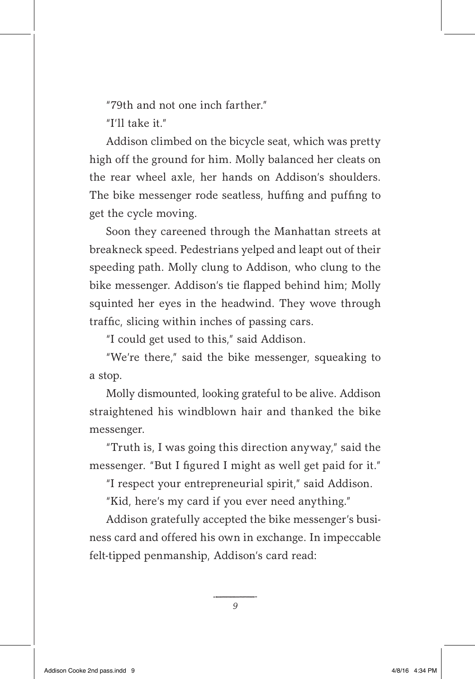"79th and not one inch farther"

"I'll take it."

Addison climbed on the bicycle seat, which was pretty high off the ground for him. Molly balanced her cleats on the rear wheel axle, her hands on Addison's shoulders. The bike messenger rode seatless, huffing and puffing to get the cycle moving.

Soon they careened through the Manhattan streets at breakneck speed. Pedestrians yelped and leapt out of their speeding path. Molly clung to Addison, who clung to the bike messenger. Addison's tie flapped behind him; Molly squinted her eyes in the headwind. They wove through traffic, slicing within inches of passing cars.

"I could get used to this," said Addison.

"We're there," said the bike messenger, squeaking to a stop.

Molly dismounted, looking grateful to be alive. Addison straightened his windblown hair and thanked the bike messenger.

"Truth is, I was going this direction anyway," said the messenger. "But I figured I might as well get paid for it."

"I respect your entrepreneurial spirit," said Addison.

"Kid, here's my card if you ever need anything."

Addison gratefully accepted the bike messenger's business card and offered his own in exchange. In impeccable felt-tipped penmanship, Addison's card read: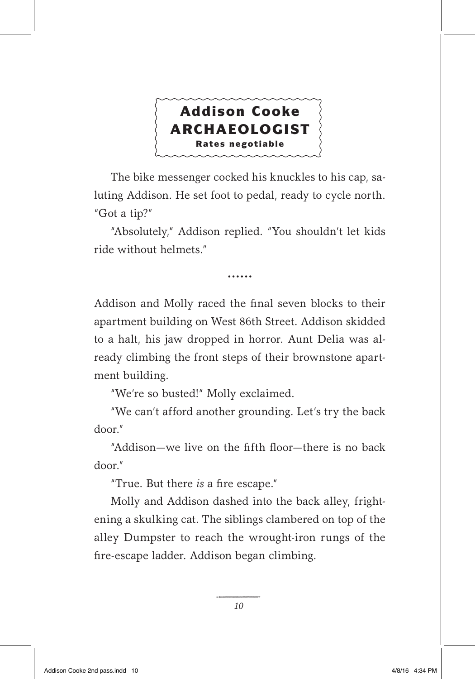

The bike messenger cocked his knuckles to his cap, saluting Addison. He set foot to pedal, ready to cycle north. "Got a tip?"

"Absolutely," Addison replied. "You shouldn't let kids ride without helmets."

. . . . . .

Addison and Molly raced the final seven blocks to their apartment building on West 86th Street. Addison skidded to a halt, his jaw dropped in horror. Aunt Delia was already climbing the front steps of their brownstone apartment building.

"We're so busted!" Molly exclaimed.

"We can't afford another grounding. Let's try the back door."

"Addison—we live on the fifth floor—there is no back door."

"True. But there *is* a fire escape."

Molly and Addison dashed into the back alley, frightening a skulking cat. The siblings clambered on top of the alley Dumpster to reach the wrought-iron rungs of the fire-escape ladder. Addison began climbing.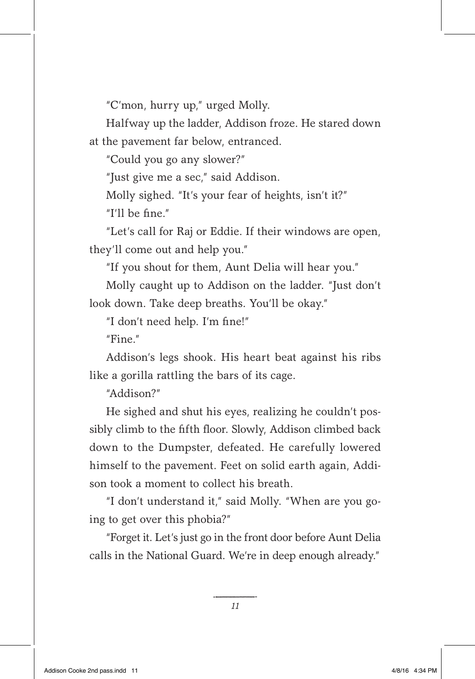"C'mon, hurry up," urged Molly.

Halfway up the ladder, Addison froze. He stared down at the pavement far below, entranced.

"Could you go any slower?"

"Just give me a sec," said Addison.

Molly sighed. "It's your fear of heights, isn't it?" "I'll be fine."

"Let's call for Raj or Eddie. If their windows are open, they'll come out and help you."

"If you shout for them, Aunt Delia will hear you."

Molly caught up to Addison on the ladder. "Just don't look down. Take deep breaths. You'll be okay."

"I don't need help. I'm fine!"

 $"$ Fine"

Addison's legs shook. His heart beat against his ribs like a gorilla rattling the bars of its cage.

"Addison?"

He sighed and shut his eyes, realizing he couldn't possibly climb to the fifth floor. Slowly, Addison climbed back down to the Dumpster, defeated. He carefully lowered himself to the pavement. Feet on solid earth again, Addison took a moment to collect his breath.

"I don't understand it," said Molly. "When are you going to get over this phobia?"

"Forget it. Let's just go in the front door before Aunt Delia calls in the National Guard. We're in deep enough already."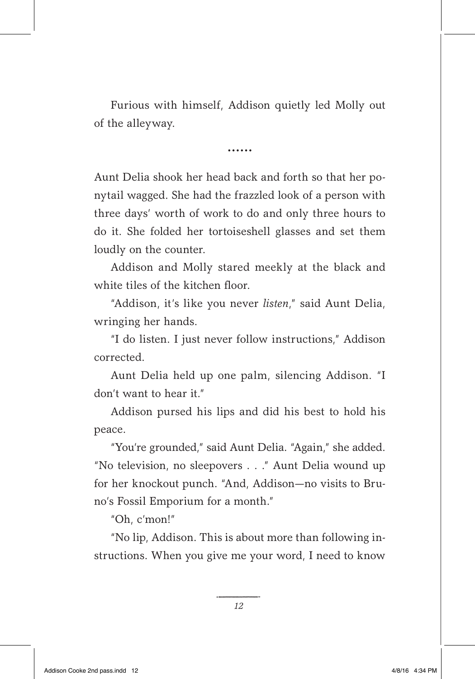Furious with himself, Addison quietly led Molly out of the alleyway.

......

Aunt Delia shook her head back and forth so that her ponytail wagged. She had the frazzled look of a person with three days' worth of work to do and only three hours to do it. She folded her tortoiseshell glasses and set them loudly on the counter.

Addison and Molly stared meekly at the black and white tiles of the kitchen floor.

"Addison, it's like you never *listen*," said Aunt Delia, wringing her hands.

"I do listen. I just never follow instructions," Addison corrected.

Aunt Delia held up one palm, silencing Addison. "I don't want to hear it."

Addison pursed his lips and did his best to hold his peace.

"You're grounded," said Aunt Delia. "Again," she added. "No television, no sleepovers . . ." Aunt Delia wound up for her knockout punch. "And, Addison—no visits to Bruno's Fossil Emporium for a month."

"Oh, c'mon!"

"No lip, Addison. This is about more than following instructions. When you give me your word, I need to know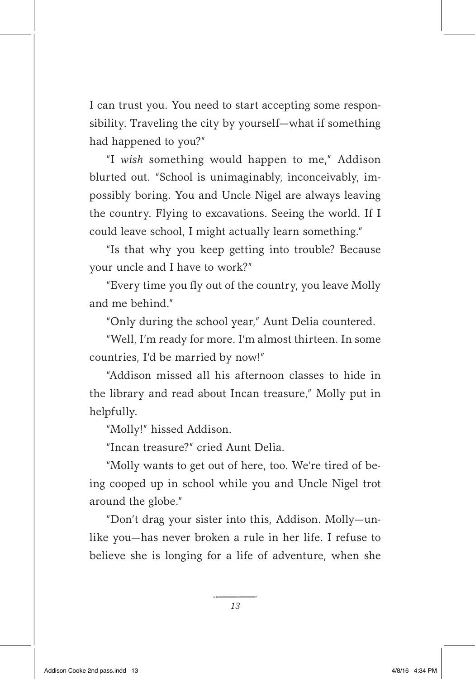I can trust you. You need to start accepting some responsibility. Traveling the city by yourself—what if something had happened to you?"

"I *wish* something would happen to me," Addison blurted out. "School is unimaginably, inconceivably, impossibly boring. You and Uncle Nigel are always leaving the country. Flying to excavations. Seeing the world. If I could leave school, I might actually learn something."

"Is that why you keep getting into trouble? Because your uncle and I have to work?"

"Every time you fly out of the country, you leave Molly and me behind."

"Only during the school year," Aunt Delia countered.

"Well, I'm ready for more. I'm almost thirteen. In some countries, I'd be married by now!"

"Addison missed all his afternoon classes to hide in the library and read about Incan treasure," Molly put in helpfully.

"Molly!" hissed Addison.

"Incan treasure?" cried Aunt Delia.

"Molly wants to get out of here, too. We're tired of being cooped up in school while you and Uncle Nigel trot around the globe."

"Don't drag your sister into this, Addison. Molly—unlike you—has never broken a rule in her life. I refuse to believe she is longing for a life of adventure, when she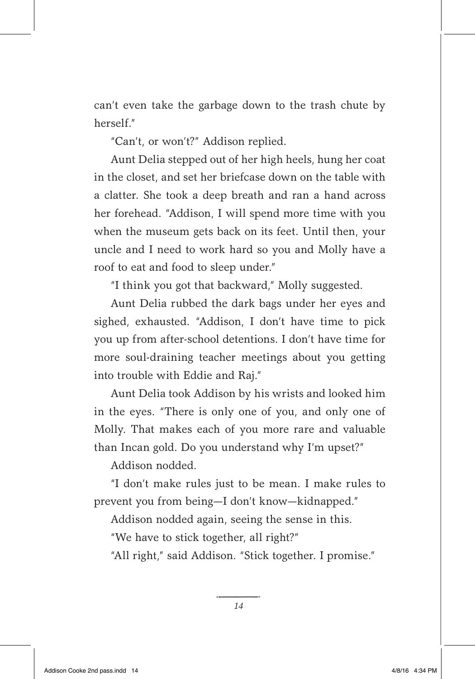can't even take the garbage down to the trash chute by herself<sup>"</sup>

"Can't, or won't?" Addison replied.

Aunt Delia stepped out of her high heels, hung her coat in the closet, and set her briefcase down on the table with a clatter. She took a deep breath and ran a hand across her forehead. "Addison, I will spend more time with you when the museum gets back on its feet. Until then, your uncle and I need to work hard so you and Molly have a roof to eat and food to sleep under."

"I think you got that backward," Molly suggested.

Aunt Delia rubbed the dark bags under her eyes and sighed, exhausted. "Addison, I don't have time to pick you up from after-school detentions. I don't have time for more soul-draining teacher meetings about you getting into trouble with Eddie and Raj."

Aunt Delia took Addison by his wrists and looked him in the eyes. "There is only one of you, and only one of Molly. That makes each of you more rare and valuable than Incan gold. Do you understand why I'm upset?"

Addison nodded.

"I don't make rules just to be mean. I make rules to prevent you from being—I don't know—kidnapped."

Addison nodded again, seeing the sense in this.

"We have to stick together, all right?"

"All right," said Addison. "Stick together. I promise."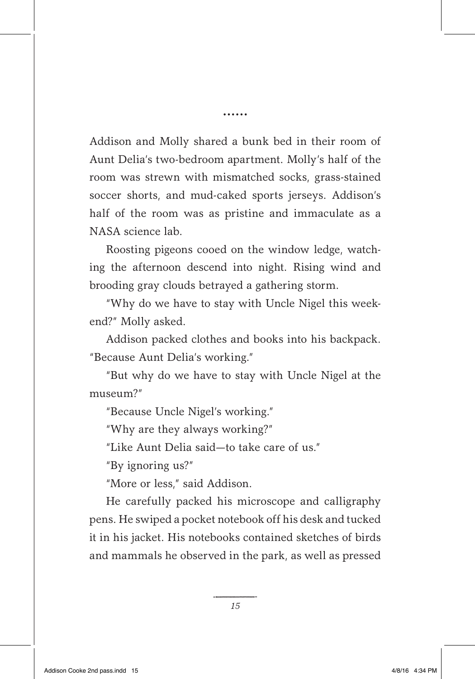Addison and Molly shared a bunk bed in their room of Aunt Delia's two-bedroom apartment. Molly's half of the room was strewn with mismatched socks, grass-stained soccer shorts, and mud-caked sports jerseys. Addison's half of the room was as pristine and immaculate as a NASA science lab.

Roosting pigeons cooed on the window ledge, watching the afternoon descend into night. Rising wind and brooding gray clouds betrayed a gathering storm.

"Why do we have to stay with Uncle Nigel this weekend?" Molly asked.

Addison packed clothes and books into his backpack. "Because Aunt Delia's working."

"But why do we have to stay with Uncle Nigel at the museum?"

"Because Uncle Nigel's working."

"Why are they always working?"

"Like Aunt Delia said—to take care of us."

"By ignoring us?"

"More or less," said Addison.

He carefully packed his microscope and calligraphy pens. He swiped a pocket notebook off his desk and tucked it in his jacket. His notebooks contained sketches of birds and mammals he observed in the park, as well as pressed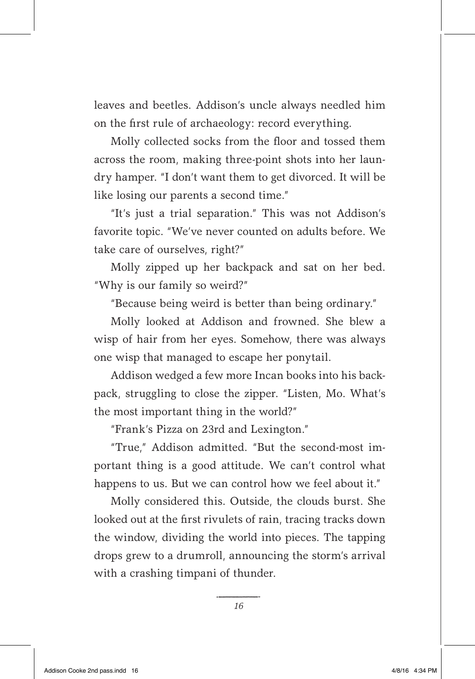leaves and beetles. Addison's uncle always needled him on the first rule of archaeology: record everything.

Molly collected socks from the floor and tossed them across the room, making three-point shots into her laundry hamper. "I don't want them to get divorced. It will be like losing our parents a second time."

"It's just a trial separation." This was not Addison's favorite topic. "We've never counted on adults before. We take care of ourselves, right?"

Molly zipped up her backpack and sat on her bed. "Why is our family so weird?"

"Because being weird is better than being ordinary."

Molly looked at Addison and frowned. She blew a wisp of hair from her eyes. Somehow, there was always one wisp that managed to escape her ponytail.

Addison wedged a few more Incan books into his backpack, struggling to close the zipper. "Listen, Mo. What's the most important thing in the world?"

"Frank's Pizza on 23rd and Lexington."

"True," Addison admitted. "But the second-most important thing is a good attitude. We can't control what happens to us. But we can control how we feel about it."

Molly considered this. Outside, the clouds burst. She looked out at the first rivulets of rain, tracing tracks down the window, dividing the world into pieces. The tapping drops grew to a drumroll, announcing the storm's arrival with a crashing timpani of thunder.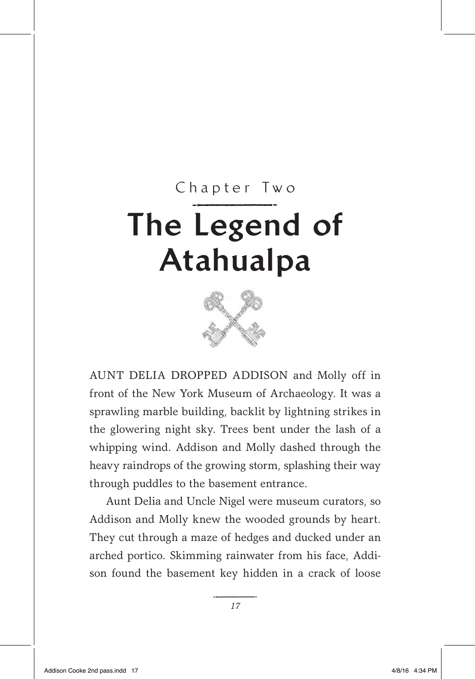## The Legend of Chapter Two Atahualpa



AUNT DELIA DROPPED ADDISON and Molly off in front of the New York Museum of Archaeology. It was a sprawling marble building, backlit by lightning strikes in the glowering night sky. Trees bent under the lash of a whipping wind. Addison and Molly dashed through the heavy raindrops of the growing storm, splashing their way through puddles to the basement entrance.

Aunt Delia and Uncle Nigel were museum curators, so Addison and Molly knew the wooded grounds by heart. They cut through a maze of hedges and ducked under an arched portico. Skimming rainwater from his face, Addison found the basement key hidden in a crack of loose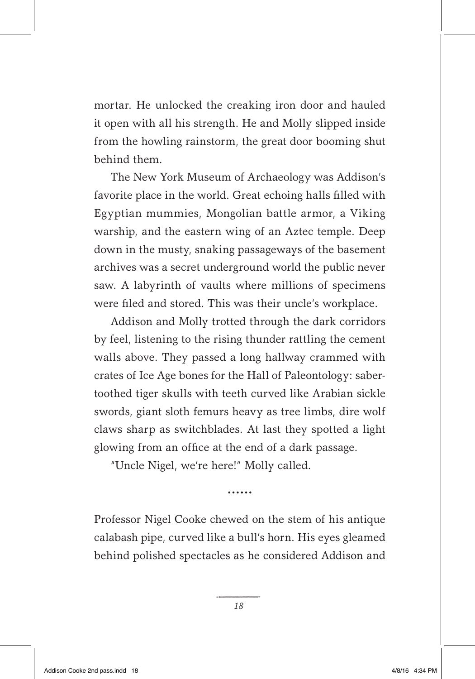mortar. He unlocked the creaking iron door and hauled it open with all his strength. He and Molly slipped inside from the howling rainstorm, the great door booming shut behind them.

The New York Museum of Archaeology was Addison's favorite place in the world. Great echoing halls filled with Egyptian mummies, Mongolian battle armor, a Viking warship, and the eastern wing of an Aztec temple. Deep down in the musty, snaking passageways of the basement archives was a secret underground world the public never saw. A labyrinth of vaults where millions of specimens were filed and stored. This was their uncle's workplace.

Addison and Molly trotted through the dark corridors by feel, listening to the rising thunder rattling the cement walls above. They passed a long hallway crammed with crates of Ice Age bones for the Hall of Paleontology: sabertoothed tiger skulls with teeth curved like Arabian sickle swords, giant sloth femurs heavy as tree limbs, dire wolf claws sharp as switchblades. At last they spotted a light glowing from an office at the end of a dark passage.

"Uncle Nigel, we're here!" Molly called.

......

Professor Nigel Cooke chewed on the stem of his antique calabash pipe, curved like a bull's horn. His eyes gleamed behind polished spectacles as he considered Addison and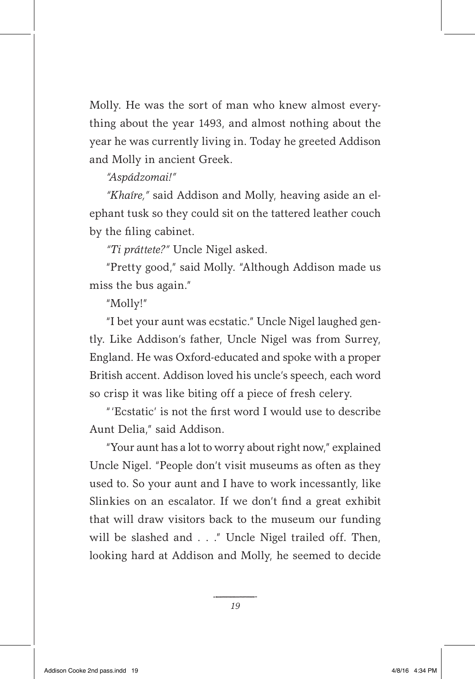Molly. He was the sort of man who knew almost everything about the year 1493, and almost nothing about the year he was currently living in. Today he greeted Addison and Molly in ancient Greek.

## *"Aspádzomai!"*

*"Khaíre,"* said Addison and Molly, heaving aside an elephant tusk so they could sit on the tattered leather couch by the filing cabinet.

*"Ti práttete?"* Uncle Nigel asked.

"Pretty good," said Molly. "Although Addison made us miss the bus again."

"Molly!"

"I bet your aunt was ecstatic." Uncle Nigel laughed gently. Like Addison's father, Uncle Nigel was from Surrey, England. He was Oxford-educated and spoke with a proper British accent. Addison loved his uncle's speech, each word so crisp it was like biting off a piece of fresh celery.

"'Ecstatic' is not the first word I would use to describe Aunt Delia," said Addison.

"Your aunt has a lot to worry about right now," explained Uncle Nigel. "People don't visit museums as often as they used to. So your aunt and I have to work incessantly, like Slinkies on an escalator. If we don't find a great exhibit that will draw visitors back to the museum our funding will be slashed and . . ." Uncle Nigel trailed off. Then, looking hard at Addison and Molly, he seemed to decide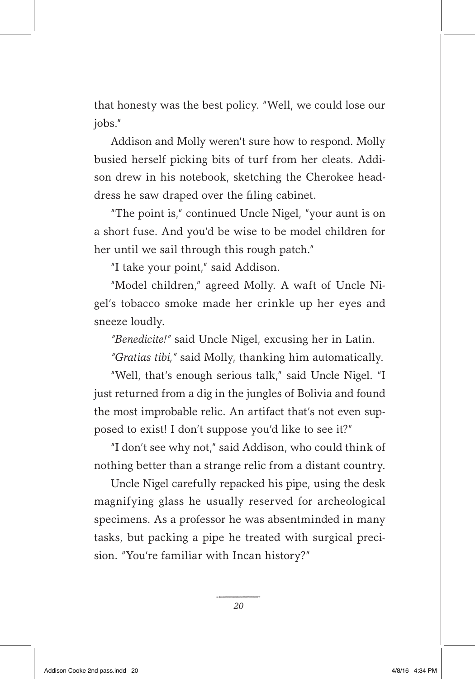that honesty was the best policy. "Well, we could lose our jobs."

Addison and Molly weren't sure how to respond. Molly busied herself picking bits of turf from her cleats. Addison drew in his notebook, sketching the Cherokee headdress he saw draped over the filing cabinet.

"The point is," continued Uncle Nigel, "your aunt is on a short fuse. And you'd be wise to be model children for her until we sail through this rough patch."

"I take your point," said Addison.

"Model children," agreed Molly. A waft of Uncle Nigel's tobacco smoke made her crinkle up her eyes and sneeze loudly.

*"Benedicite!"* said Uncle Nigel, excusing her in Latin.

*"Gratias tibi,"* said Molly, thanking him automatically.

"Well, that's enough serious talk," said Uncle Nigel. "I just returned from a dig in the jungles of Bolivia and found the most improbable relic. An artifact that's not even supposed to exist! I don't suppose you'd like to see it?"

"I don't see why not," said Addison, who could think of nothing better than a strange relic from a distant country.

Uncle Nigel carefully repacked his pipe, using the desk magnifying glass he usually reserved for archeological specimens. As a professor he was absentminded in many tasks, but packing a pipe he treated with surgical precision. "You're familiar with Incan history?"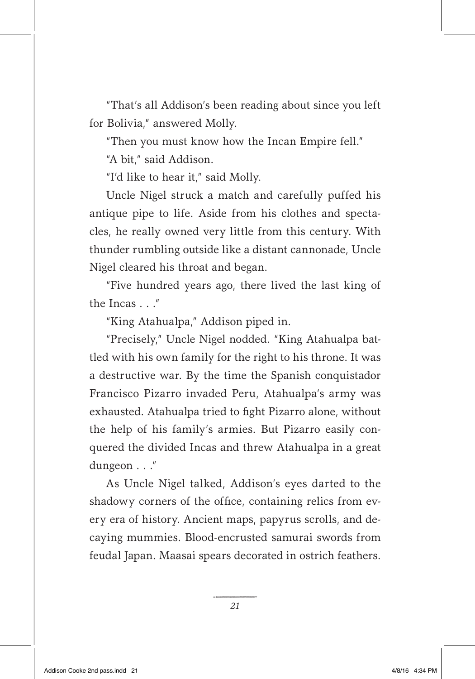"That's all Addison's been reading about since you left for Bolivia," answered Molly.

"Then you must know how the Incan Empire fell."

"A bit," said Addison.

"I'd like to hear it," said Molly.

Uncle Nigel struck a match and carefully puffed his antique pipe to life. Aside from his clothes and spectacles, he really owned very little from this century. With thunder rumbling outside like a distant cannonade, Uncle Nigel cleared his throat and began.

"Five hundred years ago, there lived the last king of the Incas . . ."

"King Atahualpa," Addison piped in.

"Precisely," Uncle Nigel nodded. "King Atahualpa battled with his own family for the right to his throne. It was a destructive war. By the time the Spanish conquistador Francisco Pizarro invaded Peru, Atahualpa's army was exhausted. Atahualpa tried to fight Pizarro alone, without the help of his family's armies. But Pizarro easily conquered the divided Incas and threw Atahualpa in a great dungeon . . ."

As Uncle Nigel talked, Addison's eyes darted to the shadowy corners of the office, containing relics from every era of history. Ancient maps, papyrus scrolls, and decaying mummies. Blood-encrusted samurai swords from feudal Japan. Maasai spears decorated in ostrich feathers.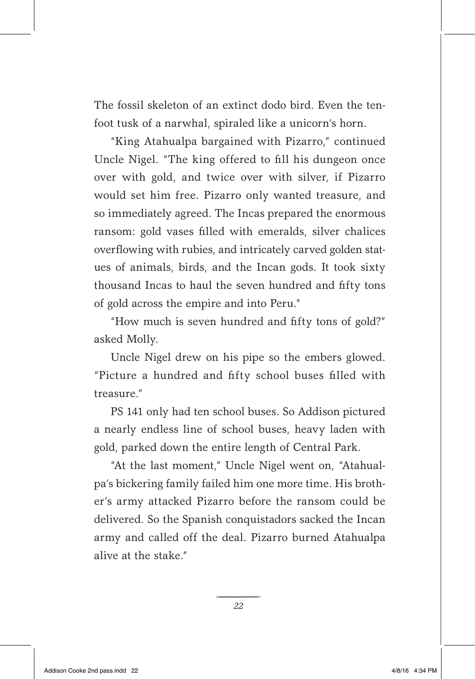The fossil skeleton of an extinct dodo bird. Even the tenfoot tusk of a narwhal, spiraled like a unicorn's horn.

"King Atahualpa bargained with Pizarro," continued Uncle Nigel. "The king offered to fill his dungeon once over with gold, and twice over with silver, if Pizarro would set him free. Pizarro only wanted treasure, and so immediately agreed. The Incas prepared the enormous ransom: gold vases filled with emeralds, silver chalices overflowing with rubies, and intricately carved golden statues of animals, birds, and the Incan gods. It took sixty thousand Incas to haul the seven hundred and fifty tons of gold across the empire and into Peru."

"How much is seven hundred and fifty tons of gold?" asked Molly.

Uncle Nigel drew on his pipe so the embers glowed. "Picture a hundred and fifty school buses filled with treasure."

PS 141 only had ten school buses. So Addison pictured a nearly endless line of school buses, heavy laden with gold, parked down the entire length of Central Park.

"At the last moment," Uncle Nigel went on, "Atahualpa's bickering family failed him one more time. His brother's army attacked Pizarro before the ransom could be delivered. So the Spanish conquistadors sacked the Incan army and called off the deal. Pizarro burned Atahualpa alive at the stake."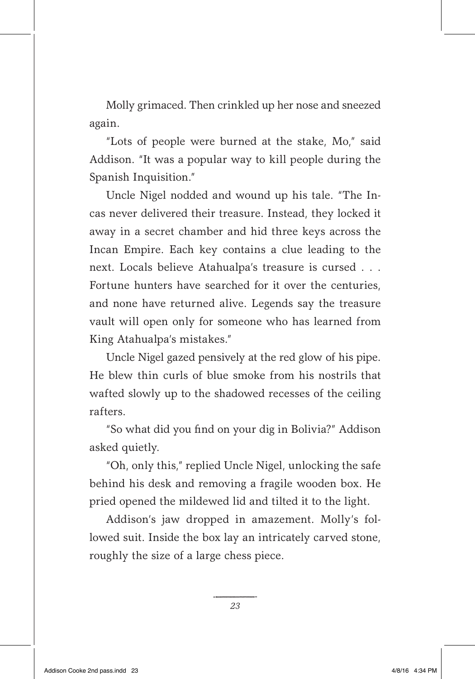Molly grimaced. Then crinkled up her nose and sneezed again.

"Lots of people were burned at the stake, Mo," said Addison. "It was a popular way to kill people during the Spanish Inquisition."

Uncle Nigel nodded and wound up his tale. "The Incas never delivered their treasure. Instead, they locked it away in a secret chamber and hid three keys across the Incan Empire. Each key contains a clue leading to the next. Locals believe Atahualpa's treasure is cursed . . . Fortune hunters have searched for it over the centuries, and none have returned alive. Legends say the treasure vault will open only for someone who has learned from King Atahualpa's mistakes."

Uncle Nigel gazed pensively at the red glow of his pipe. He blew thin curls of blue smoke from his nostrils that wafted slowly up to the shadowed recesses of the ceiling rafters.

"So what did you find on your dig in Bolivia?" Addison asked quietly.

"Oh, only this," replied Uncle Nigel, unlocking the safe behind his desk and removing a fragile wooden box. He pried opened the mildewed lid and tilted it to the light.

Addison's jaw dropped in amazement. Molly's followed suit. Inside the box lay an intricately carved stone, roughly the size of a large chess piece.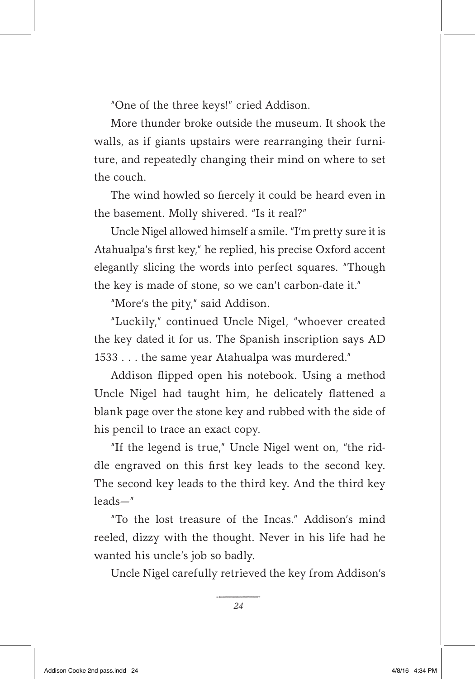"One of the three keys!" cried Addison.

More thunder broke outside the museum. It shook the walls, as if giants upstairs were rearranging their furniture, and repeatedly changing their mind on where to set the couch.

The wind howled so fiercely it could be heard even in the basement. Molly shivered. "Is it real?"

Uncle Nigel allowed himself a smile. "I'm pretty sure it is Atahualpa's first key," he replied, his precise Oxford accent elegantly slicing the words into perfect squares. "Though the key is made of stone, so we can't carbon-date it."

"More's the pity," said Addison.

"Luckily," continued Uncle Nigel, "whoever created the key dated it for us. The Spanish inscription says AD 1533 . . . the same year Atahualpa was murdered."

Addison flipped open his notebook. Using a method Uncle Nigel had taught him, he delicately flattened a blank page over the stone key and rubbed with the side of his pencil to trace an exact copy.

"If the legend is true," Uncle Nigel went on, "the riddle engraved on this first key leads to the second key. The second key leads to the third key. And the third key leads—"

"To the lost treasure of the Incas." Addison's mind reeled, dizzy with the thought. Never in his life had he wanted his uncle's job so badly.

Uncle Nigel carefully retrieved the key from Addison's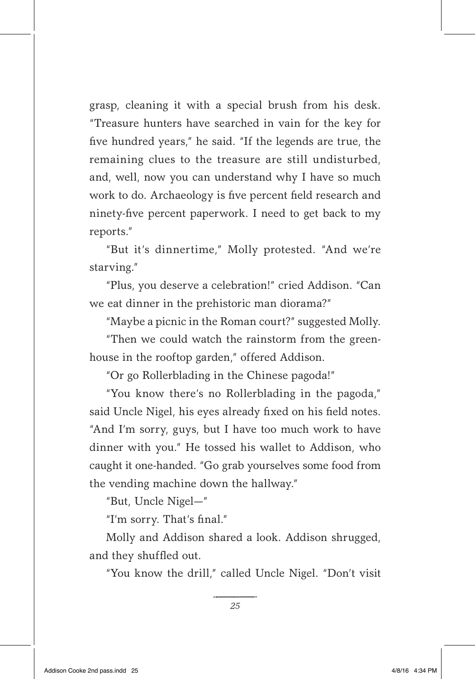grasp, cleaning it with a special brush from his desk. "Treasure hunters have searched in vain for the key for five hundred years," he said. "If the legends are true, the remaining clues to the treasure are still undisturbed, and, well, now you can understand why I have so much work to do. Archaeology is five percent field research and ninety-five percent paperwork. I need to get back to my reports."

"But it's dinnertime," Molly protested. "And we're starving."

"Plus, you deserve a celebration!" cried Addison. "Can we eat dinner in the prehistoric man diorama?"

"Maybe a picnic in the Roman court?" suggested Molly.

"Then we could watch the rainstorm from the greenhouse in the rooftop garden," offered Addison.

"Or go Rollerblading in the Chinese pagoda!"

"You know there's no Rollerblading in the pagoda," said Uncle Nigel, his eyes already fixed on his field notes. "And I'm sorry, guys, but I have too much work to have dinner with you." He tossed his wallet to Addison, who caught it one-handed. "Go grab yourselves some food from the vending machine down the hallway."

"But, Uncle Nigel—"

"I'm sorry. That's final."

Molly and Addison shared a look. Addison shrugged, and they shuffled out.

"You know the drill," called Uncle Nigel. "Don't visit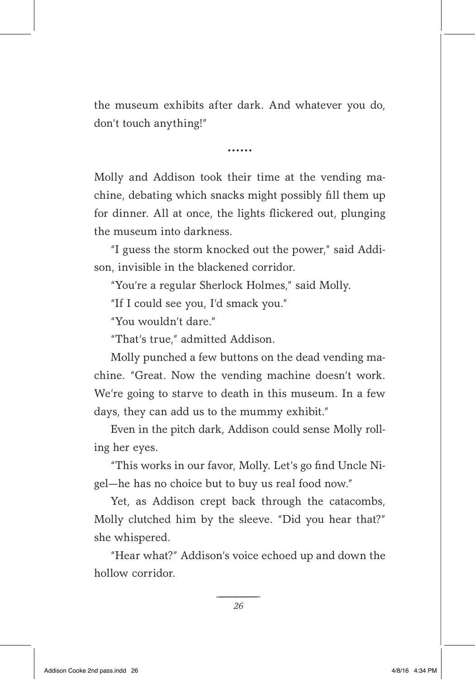the museum exhibits after dark. And whatever you do, don't touch anything!"

......

Molly and Addison took their time at the vending machine, debating which snacks might possibly fill them up for dinner. All at once, the lights flickered out, plunging the museum into darkness.

"I guess the storm knocked out the power," said Addison, invisible in the blackened corridor.

"You're a regular Sherlock Holmes," said Molly.

"If I could see you, I'd smack you."

"You wouldn't dare."

"That's true," admitted Addison.

Molly punched a few buttons on the dead vending machine. "Great. Now the vending machine doesn't work. We're going to starve to death in this museum. In a few days, they can add us to the mummy exhibit."

Even in the pitch dark, Addison could sense Molly rolling her eyes.

"This works in our favor, Molly. Let's go find Uncle Nigel—he has no choice but to buy us real food now."

Yet, as Addison crept back through the catacombs, Molly clutched him by the sleeve. "Did you hear that?" she whispered.

"Hear what?" Addison's voice echoed up and down the hollow corridor.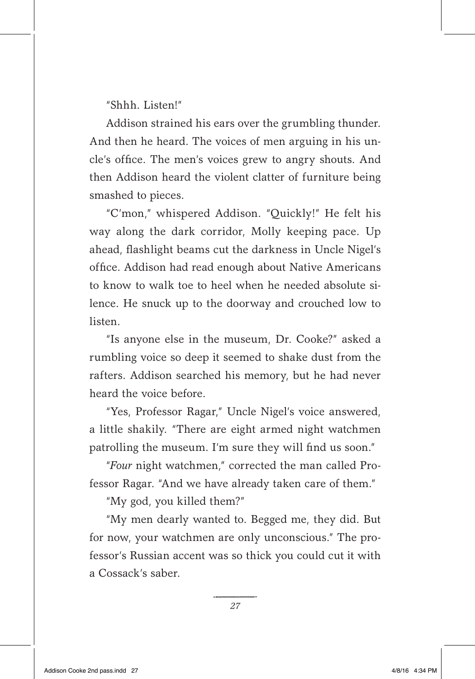"Shhh. Listen!"

Addison strained his ears over the grumbling thunder. And then he heard. The voices of men arguing in his uncle's office. The men's voices grew to angry shouts. And then Addison heard the violent clatter of furniture being smashed to pieces.

"C'mon," whispered Addison. "Quickly!" He felt his way along the dark corridor, Molly keeping pace. Up ahead, flashlight beams cut the darkness in Uncle Nigel's office. Addison had read enough about Native Americans to know to walk toe to heel when he needed absolute silence. He snuck up to the doorway and crouched low to **listen** 

"Is anyone else in the museum, Dr. Cooke?" asked a rumbling voice so deep it seemed to shake dust from the rafters. Addison searched his memory, but he had never heard the voice before.

"Yes, Professor Ragar," Uncle Nigel's voice answered, a little shakily. "There are eight armed night watchmen patrolling the museum. I'm sure they will find us soon."

"*Four* night watchmen," corrected the man called Professor Ragar. "And we have already taken care of them."

"My god, you killed them?"

"My men dearly wanted to. Begged me, they did. But for now, your watchmen are only unconscious." The professor's Russian accent was so thick you could cut it with a Cossack's saber.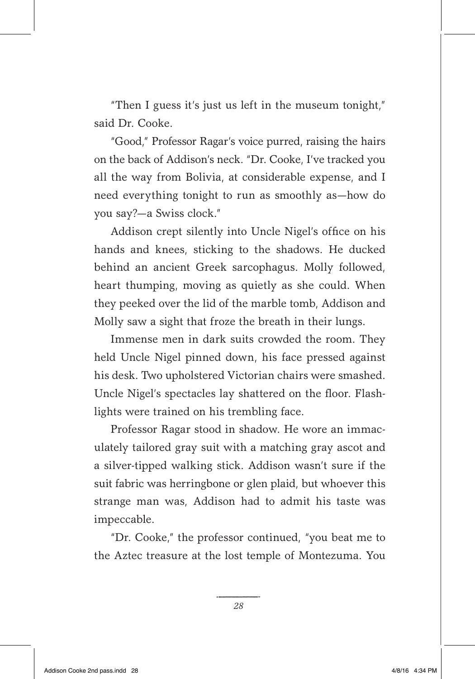"Then I guess it's just us left in the museum tonight," said Dr. Cooke.

"Good," Professor Ragar's voice purred, raising the hairs on the back of Addison's neck. "Dr. Cooke, I've tracked you all the way from Bolivia, at considerable expense, and I need everything tonight to run as smoothly as—how do you say?—a Swiss clock."

Addison crept silently into Uncle Nigel's office on his hands and knees, sticking to the shadows. He ducked behind an ancient Greek sarcophagus. Molly followed, heart thumping, moving as quietly as she could. When they peeked over the lid of the marble tomb, Addison and Molly saw a sight that froze the breath in their lungs.

Immense men in dark suits crowded the room. They held Uncle Nigel pinned down, his face pressed against his desk. Two upholstered Victorian chairs were smashed. Uncle Nigel's spectacles lay shattered on the floor. Flashlights were trained on his trembling face.

Professor Ragar stood in shadow. He wore an immaculately tailored gray suit with a matching gray ascot and a silver-tipped walking stick. Addison wasn't sure if the suit fabric was herringbone or glen plaid, but whoever this strange man was, Addison had to admit his taste was impeccable.

"Dr. Cooke," the professor continued, "you beat me to the Aztec treasure at the lost temple of Montezuma. You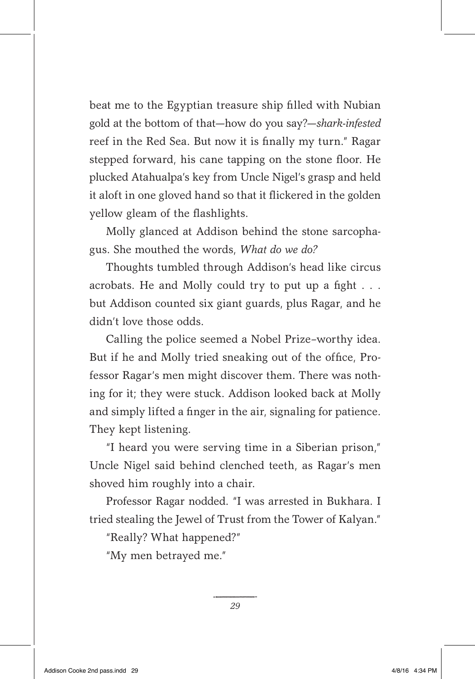beat me to the Egyptian treasure ship filled with Nubian gold at the bottom of that—how do you say?—*shark-infested* reef in the Red Sea. But now it is finally my turn." Ragar stepped forward, his cane tapping on the stone floor. He plucked Atahualpa's key from Uncle Nigel's grasp and held it aloft in one gloved hand so that it flickered in the golden yellow gleam of the flashlights.

Molly glanced at Addison behind the stone sarcophagus. She mouthed the words, *What do we do?*

Thoughts tumbled through Addison's head like circus acrobats. He and Molly could try to put up a fight . . . but Addison counted six giant guards, plus Ragar, and he didn't love those odds.

Calling the police seemed a Nobel Prize–worthy idea. But if he and Molly tried sneaking out of the office, Professor Ragar's men might discover them. There was nothing for it; they were stuck. Addison looked back at Molly and simply lifted a finger in the air, signaling for patience. They kept listening.

"I heard you were serving time in a Siberian prison," Uncle Nigel said behind clenched teeth, as Ragar's men shoved him roughly into a chair.

Professor Ragar nodded. "I was arrested in Bukhara. I tried stealing the Jewel of Trust from the Tower of Kalyan."

"Really? What happened?"

"My men betrayed me."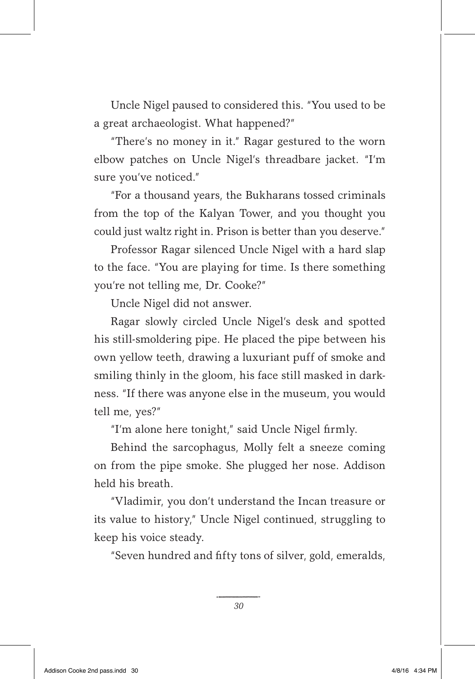Uncle Nigel paused to considered this. "You used to be a great archaeologist. What happened?"

"There's no money in it." Ragar gestured to the worn elbow patches on Uncle Nigel's threadbare jacket. "I'm sure you've noticed."

"For a thousand years, the Bukharans tossed criminals from the top of the Kalyan Tower, and you thought you could just waltz right in. Prison is better than you deserve."

Professor Ragar silenced Uncle Nigel with a hard slap to the face. "You are playing for time. Is there something you're not telling me, Dr. Cooke?"

Uncle Nigel did not answer.

Ragar slowly circled Uncle Nigel's desk and spotted his still-smoldering pipe. He placed the pipe between his own yellow teeth, drawing a luxuriant puff of smoke and smiling thinly in the gloom, his face still masked in darkness. "If there was anyone else in the museum, you would tell me, yes?"

"I'm alone here tonight," said Uncle Nigel firmly.

Behind the sarcophagus, Molly felt a sneeze coming on from the pipe smoke. She plugged her nose. Addison held his breath.

"Vladimir, you don't understand the Incan treasure or its value to history," Uncle Nigel continued, struggling to keep his voice steady.

"Seven hundred and fifty tons of silver, gold, emeralds,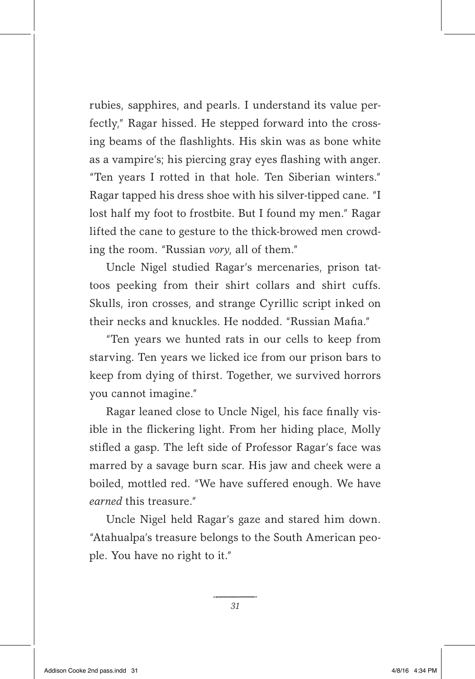rubies, sapphires, and pearls. I understand its value perfectly," Ragar hissed. He stepped forward into the crossing beams of the flashlights. His skin was as bone white as a vampire's; his piercing gray eyes flashing with anger. "Ten years I rotted in that hole. Ten Siberian winters." Ragar tapped his dress shoe with his silver-tipped cane. "I lost half my foot to frostbite. But I found my men." Ragar lifted the cane to gesture to the thick-browed men crowding the room. "Russian *vory*, all of them."

Uncle Nigel studied Ragar's mercenaries, prison tattoos peeking from their shirt collars and shirt cuffs. Skulls, iron crosses, and strange Cyrillic script inked on their necks and knuckles. He nodded. "Russian Mafia."

"Ten years we hunted rats in our cells to keep from starving. Ten years we licked ice from our prison bars to keep from dying of thirst. Together, we survived horrors you cannot imagine."

Ragar leaned close to Uncle Nigel, his face finally visible in the flickering light. From her hiding place, Molly stifled a gasp. The left side of Professor Ragar's face was marred by a savage burn scar. His jaw and cheek were a boiled, mottled red. "We have suffered enough. We have *earned* this treasure."

Uncle Nigel held Ragar's gaze and stared him down. "Atahualpa's treasure belongs to the South American people. You have no right to it."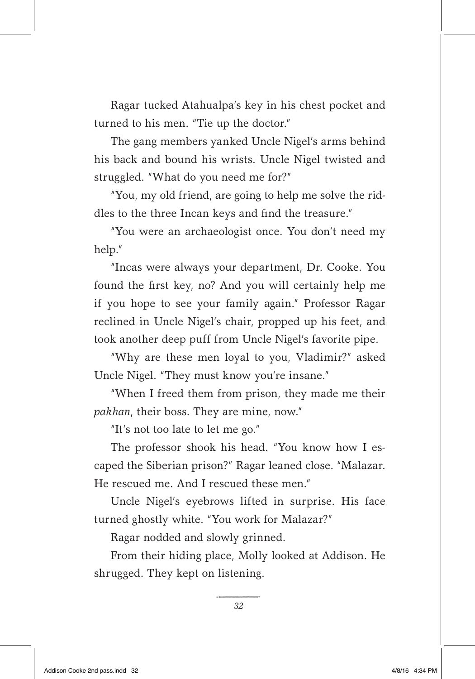Ragar tucked Atahualpa's key in his chest pocket and turned to his men. "Tie up the doctor."

The gang members yanked Uncle Nigel's arms behind his back and bound his wrists. Uncle Nigel twisted and struggled. "What do you need me for?"

"You, my old friend, are going to help me solve the riddles to the three Incan keys and find the treasure."

"You were an archaeologist once. You don't need my help."

"Incas were always your department, Dr. Cooke. You found the first key, no? And you will certainly help me if you hope to see your family again." Professor Ragar reclined in Uncle Nigel's chair, propped up his feet, and took another deep puff from Uncle Nigel's favorite pipe.

"Why are these men loyal to you, Vladimir?" asked Uncle Nigel. "They must know you're insane."

"When I freed them from prison, they made me their *pakhan*, their boss. They are mine, now."

"It's not too late to let me go."

The professor shook his head. "You know how I escaped the Siberian prison?" Ragar leaned close. "Malazar. He rescued me. And I rescued these men."

Uncle Nigel's eyebrows lifted in surprise. His face turned ghostly white. "You work for Malazar?"

Ragar nodded and slowly grinned.

From their hiding place, Molly looked at Addison. He shrugged. They kept on listening.